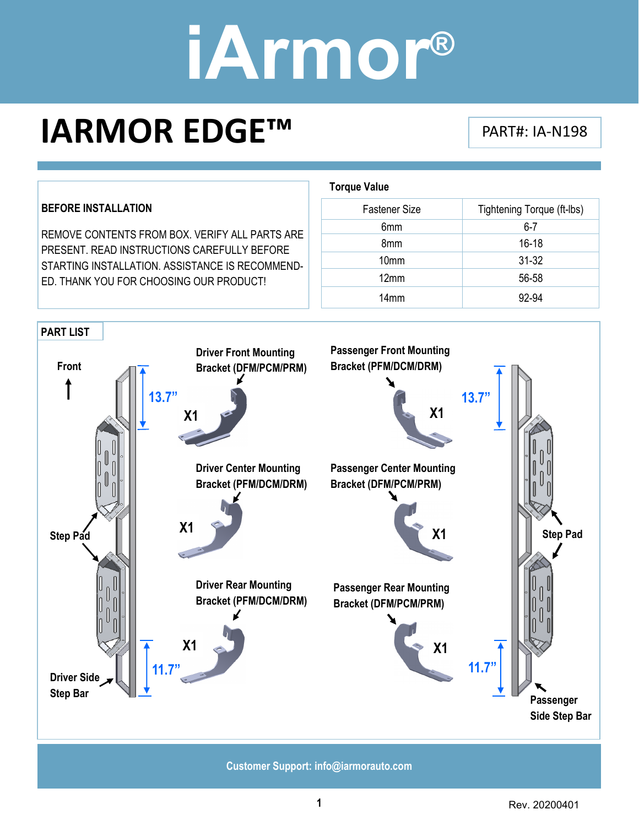### **IARMOR EDGE™** PART#: IA‐N198

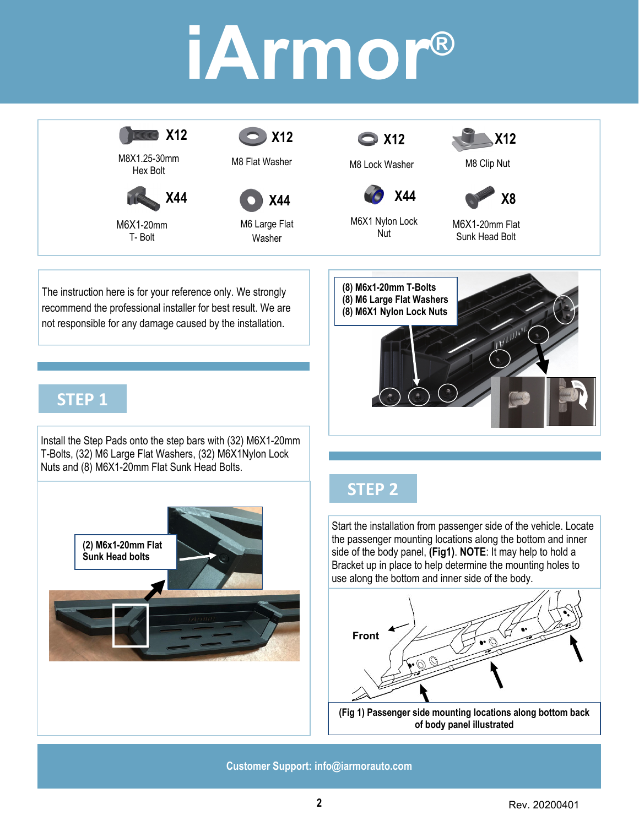

Hex Bolt



M6X1-20mm T- Bolt



M8 Flat Washer M8 Lock Washer



M6 Large Flat Washer





M8 Clip Nut



M6X1 Nylon Lock Nut

**X44** 





not responsible for any damage caused by the installation.

The instruction here is for your reference only. We strongly recommend the professional installer for best result. We are

### **STEP 1**

Install the Step Pads onto the step bars with (32) M6X1-20mm T-Bolts, (32) M6 Large Flat Washers, (32) M6X1Nylon Lock Nuts and (8) M6X1-20mm Flat Sunk Head Bolts.



### **STEP 2**

Start the installation from passenger side of the vehicle. Locate the passenger mounting locations along the bottom and inner side of the body panel, **(Fig1)**. **NOTE**: It may help to hold a Bracket up in place to help determine the mounting holes to use along the bottom and inner side of the body.



**of body panel illustrated**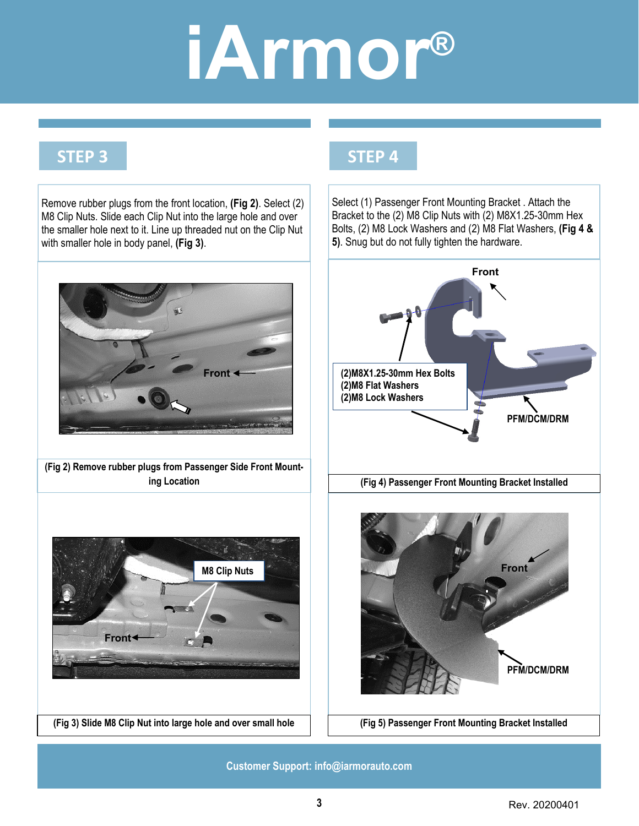**STEP 4**

#### **STEP 3**

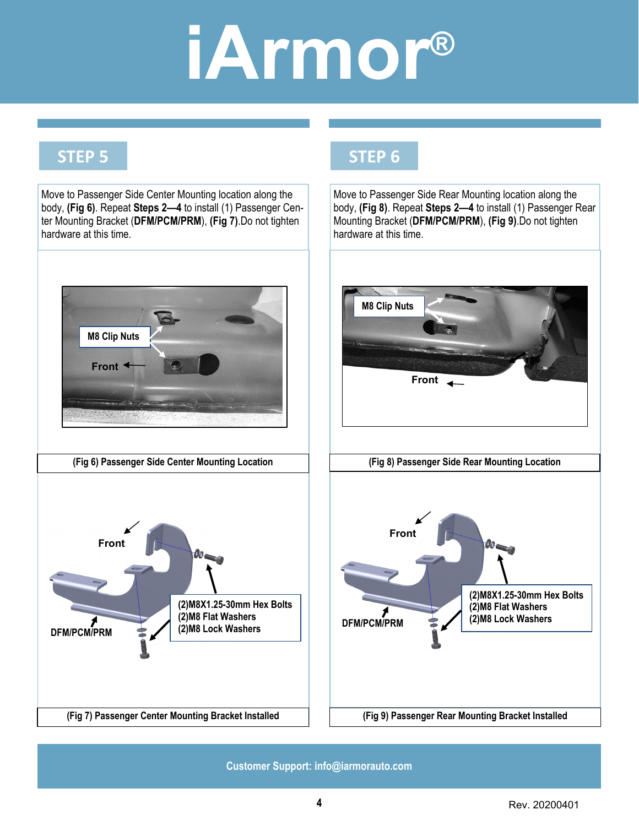**STEP 6**

#### **STEP 5**